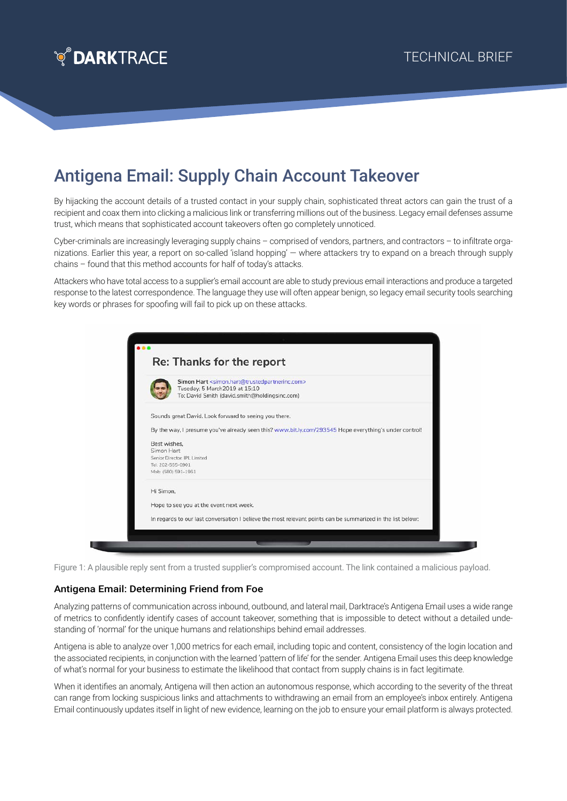

## Antigena Email: Supply Chain Account Takeover

By hijacking the account details of a trusted contact in your supply chain, sophisticated threat actors can gain the trust of a recipient and coax them into clicking a malicious link or transferring millions out of the business. Legacy email defenses assume trust, which means that sophisticated account takeovers often go completely unnoticed.

Cyber-criminals are increasingly leveraging supply chains – comprised of vendors, partners, and contractors – to infiltrate organizations. Earlier this year, a report on so-called 'island hopping' — where attackers try to expand on a breach through supply chains – found that this method accounts for half of today's attacks.

Attackers who have total access to a supplier's email account are able to study previous email interactions and produce a targeted response to the latest correspondence. The language they use will often appear benign, so legacy email security tools searching key words or phrases for spoofing will fail to pick up on these attacks.



Figure 1: A plausible reply sent from a trusted supplier's compromised account. The link contained a malicious payload.

## Antigena Email: Determining Friend from Foe

Analyzing patterns of communication across inbound, outbound, and lateral mail, Darktrace's Antigena Email uses a wide range of metrics to confidently identify cases of account takeover, something that is impossible to detect without a detailed undestanding of 'normal' for the unique humans and relationships behind email addresses.

Antigena is able to analyze over 1,000 metrics for each email, including topic and content, consistency of the login location and the associated recipients, in conjunction with the learned 'pattern of life' for the sender. Antigena Email uses this deep knowledge of what's normal for your business to estimate the likelihood that contact from supply chains is in fact legitimate.

When it identifies an anomaly, Antigena will then action an autonomous response, which according to the severity of the threat can range from locking suspicious links and attachments to withdrawing an email from an employee's inbox entirely. Antigena Email continuously updates itself in light of new evidence, learning on the job to ensure your email platform is always protected.